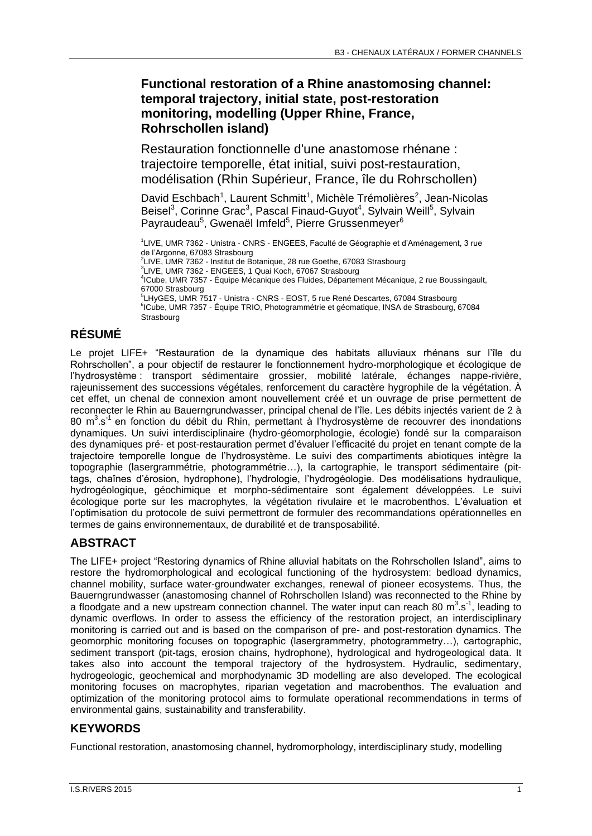## **Functional restoration of a Rhine anastomosing channel: temporal trajectory, initial state, post-restoration monitoring, modelling (Upper Rhine, France, Rohrschollen island)**

Restauration fonctionnelle d'une anastomose rhénane : trajectoire temporelle, état initial, suivi post-restauration, modélisation (Rhin Supérieur, France, île du Rohrschollen)

David Eschbach<sup>1</sup>, Laurent Schmitt<sup>1</sup>, Michèle Trémolières<sup>2</sup>, Jean-Nicolas Beisel<sup>3</sup>, Corinne Grac<sup>3</sup>, Pascal Finaud-Guyot<sup>4</sup>, Sylvain Weill<sup>5</sup>, Sylvain Payraudeau<sup>5</sup>, Gwenaël Imfeld<sup>5</sup>, Pierre Grussenmeyer<sup>6</sup>

1 LIVE, UMR 7362 - Unistra - CNRS - ENGEES, Faculté de Géographie et d'Aménagement, 3 rue de l'Argonne, 67083 Strasbourg 2 LIVE, UMR 7362 - Institut de Botanique, 28 rue Goethe, 67083 Strasbourg 3 LIVE, UMR 7362 - ENGEES, 1 Quai Koch, 67067 Strasbourg 4 ICube, UMR 7357 - Équipe Mécanique des Fluides, Département Mécanique, 2 rue Boussingault, 67000 Strasbourg 5 LHyGES, UMR 7517 - Unistra - CNRS - EOST, 5 rue René Descartes, 67084 Strasbourg <sup>6</sup>ICube, UMR 7357 - Équipe TRIO, Photogrammétrie et géomatique, INSA de Strasbourg, 67084 **Strasbourg** 

# **RÉSUMÉ**

Le projet LIFE+ "Restauration de la dynamique des habitats alluviaux rhénans sur l'île du Rohrschollen", a pour objectif de restaurer le fonctionnement hydro-morphologique et écologique de l'hydrosystème : transport sédimentaire grossier, mobilité latérale, échanges nappe-rivière, rajeunissement des successions végétales, renforcement du caractère hygrophile de la végétation. À cet effet, un chenal de connexion amont nouvellement créé et un ouvrage de prise permettent de reconnecter le Rhin au Bauerngrundwasser, principal chenal de l'île. Les débits injectés varient de 2 à 80 m<sup>3</sup> s<sup>1</sup> en fonction du débit du Rhin, permettant à l'hydrosystème de recouvrer des inondations dynamiques. Un suivi interdisciplinaire (hydro-géomorphologie, écologie) fondé sur la comparaison des dynamiques pré- et post-restauration permet d'évaluer l'efficacité du projet en tenant compte de la trajectoire temporelle longue de l'hydrosystème. Le suivi des compartiments abiotiques intègre la topographie (lasergrammétrie, photogrammétrie…), la cartographie, le transport sédimentaire (pittags, chaînes d'érosion, hydrophone), l'hydrologie, l'hydrogéologie. Des modélisations hydraulique, hydrogéologique, géochimique et morpho-sédimentaire sont également développées. Le suivi écologique porte sur les macrophytes, la végétation rivulaire et le macrobenthos. L'évaluation et l'optimisation du protocole de suivi permettront de formuler des recommandations opérationnelles en termes de gains environnementaux, de durabilité et de transposabilité.

# **ABSTRACT**

The LIFE+ project "Restoring dynamics of Rhine alluvial habitats on the Rohrschollen Island", aims to restore the hydromorphological and ecological functioning of the hydrosystem: bedload dynamics, channel mobility, surface water-groundwater exchanges, renewal of pioneer ecosystems. Thus, the Bauerngrundwasser (anastomosing channel of Rohrschollen Island) was reconnected to the Rhine by a floodgate and a new upstream connection channel. The water input can reach 80  $m^3.s^1$ , leading to dynamic overflows. In order to assess the efficiency of the restoration project, an interdisciplinary monitoring is carried out and is based on the comparison of pre- and post-restoration dynamics. The geomorphic monitoring focuses on topographic (lasergrammetry, photogrammetry…), cartographic, sediment transport (pit-tags, erosion chains, hydrophone), hydrological and hydrogeological data. It takes also into account the temporal trajectory of the hydrosystem. Hydraulic, sedimentary, hydrogeologic, geochemical and morphodynamic 3D modelling are also developed. The ecological monitoring focuses on macrophytes, riparian vegetation and macrobenthos. The evaluation and optimization of the monitoring protocol aims to formulate operational recommendations in terms of environmental gains, sustainability and transferability.

#### **KEYWORDS**

Functional restoration, anastomosing channel, hydromorphology, interdisciplinary study, modelling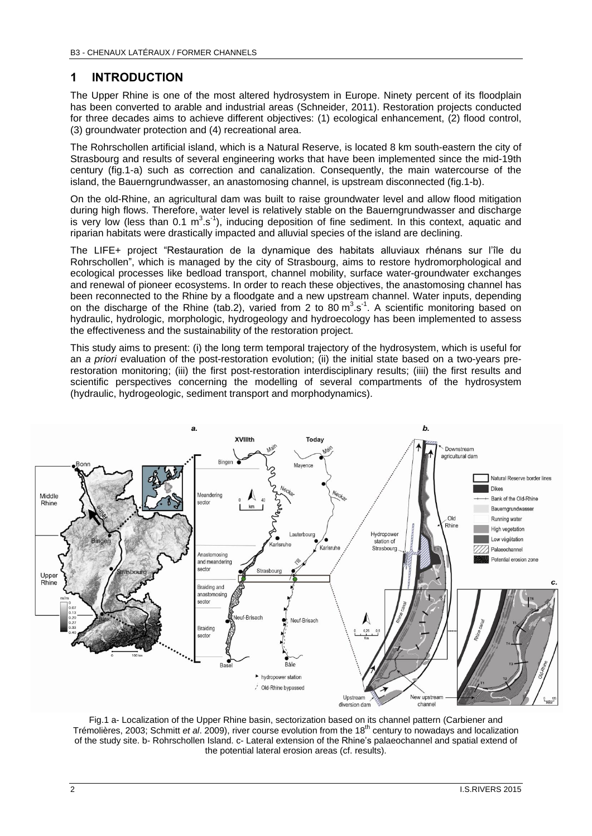### **1 INTRODUCTION**

The Upper Rhine is one of the most altered hydrosystem in Europe. Ninety percent of its floodplain has been converted to arable and industrial areas (Schneider, 2011). Restoration projects conducted for three decades aims to achieve different objectives: (1) ecological enhancement, (2) flood control, (3) groundwater protection and (4) recreational area.

The Rohrschollen artificial island, which is a Natural Reserve, is located 8 km south-eastern the city of Strasbourg and results of several engineering works that have been implemented since the mid-19th century (fig.1-a) such as correction and canalization. Consequently, the main watercourse of the island, the Bauerngrundwasser, an anastomosing channel, is upstream disconnected (fig.1-b).

On the old-Rhine, an agricultural dam was built to raise groundwater level and allow flood mitigation during high flows. Therefore, water level is relatively stable on the Bauerngrundwasser and discharge is very low (less than 0.1  $m^3$  s<sup>-1</sup>), inducing deposition of fine sediment. In this context, aquatic and riparian habitats were drastically impacted and alluvial species of the island are declining.

The LIFE+ project "Restauration de la dynamique des habitats alluviaux rhénans sur l'île du Rohrschollen", which is managed by the city of Strasbourg, aims to restore hydromorphological and ecological processes like bedload transport, channel mobility, surface water-groundwater exchanges and renewal of pioneer ecosystems. In order to reach these objectives, the anastomosing channel has been reconnected to the Rhine by a floodgate and a new upstream channel. Water inputs, depending on the discharge of the Rhine (tab.2), varied from 2 to 80  $m^3$  s<sup>-1</sup>. A scientific monitoring based on hydraulic, hydrologic, morphologic, hydrogeology and hydroecology has been implemented to assess the effectiveness and the sustainability of the restoration project.

This study aims to present: (i) the long term temporal trajectory of the hydrosystem, which is useful for an *a priori* evaluation of the post-restoration evolution; (ii) the initial state based on a two-years prerestoration monitoring; (iii) the first post-restoration interdisciplinary results; (iiii) the first results and scientific perspectives concerning the modelling of several compartments of the hydrosystem (hydraulic, hydrogeologic, sediment transport and morphodynamics).



Fig.1 a- Localization of the Upper Rhine basin, sectorization based on its channel pattern (Carbiener and Trémolières, 2003; Schmitt *et al*. 2009), river course evolution from the 18th century to nowadays and localization of the study site. b- Rohrschollen Island. c- Lateral extension of the Rhine's palaeochannel and spatial extend of the potential lateral erosion areas (cf. results).